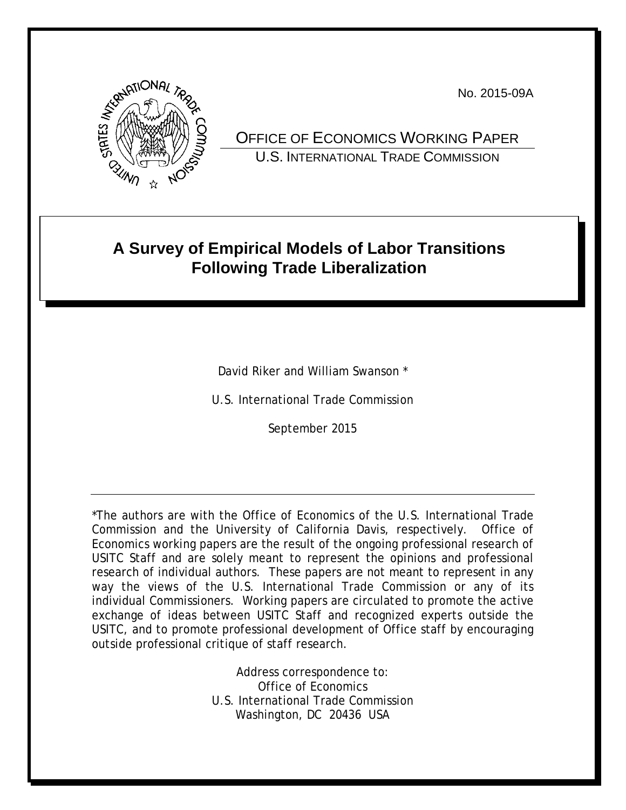No. 2015-09A



OFFICE OF ECONOMICS WORKING PAPER U.S. INTERNATIONAL TRADE COMMISSION

# **A Survey of Empirical Models of Labor Transitions Following Trade Liberalization**

David Riker and William Swanson \*

U.S. International Trade Commission

September 2015

\*The authors are with the Office of Economics of the U.S. International Trade Commission and the University of California Davis, respectively. Office of Economics working papers are the result of the ongoing professional research of USITC Staff and are solely meant to represent the opinions and professional research of individual authors. These papers are not meant to represent in any way the views of the U.S. International Trade Commission or any of its individual Commissioners. Working papers are circulated to promote the active exchange of ideas between USITC Staff and recognized experts outside the USITC, and to promote professional development of Office staff by encouraging outside professional critique of staff research.

> Address correspondence to: Office of Economics U.S. International Trade Commission Washington, DC 20436 USA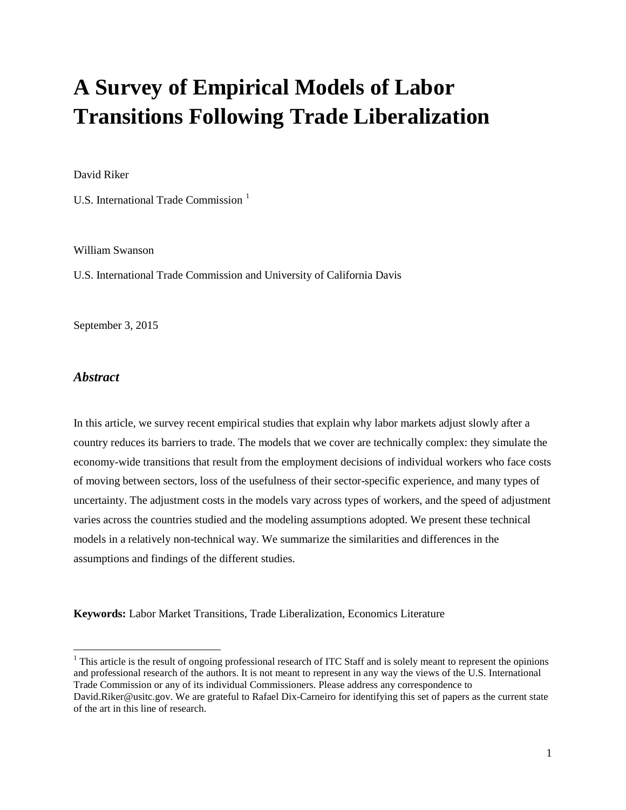# **A Survey of Empirical Models of Labor Transitions Following Trade Liberalization**

David Riker

U.S. International Trade Commission<sup>[1](#page-1-0)</sup>

William Swanson

U.S. International Trade Commission and University of California Davis

September 3, 2015

# *Abstract*

In this article, we survey recent empirical studies that explain why labor markets adjust slowly after a country reduces its barriers to trade. The models that we cover are technically complex: they simulate the economy-wide transitions that result from the employment decisions of individual workers who face costs of moving between sectors, loss of the usefulness of their sector-specific experience, and many types of uncertainty. The adjustment costs in the models vary across types of workers, and the speed of adjustment varies across the countries studied and the modeling assumptions adopted. We present these technical models in a relatively non-technical way. We summarize the similarities and differences in the assumptions and findings of the different studies.

**Keywords:** Labor Market Transitions, Trade Liberalization, Economics Literature

<span id="page-1-0"></span> $1$  This article is the result of ongoing professional research of ITC Staff and is solely meant to represent the opinions and professional research of the authors. It is not meant to represent in any way the views of the U.S. International Trade Commission or any of its individual Commissioners. Please address any correspondence to

David.Riker@usitc.gov. We are grateful to Rafael Dix-Carneiro for identifying this set of papers as the current state of the art in this line of research.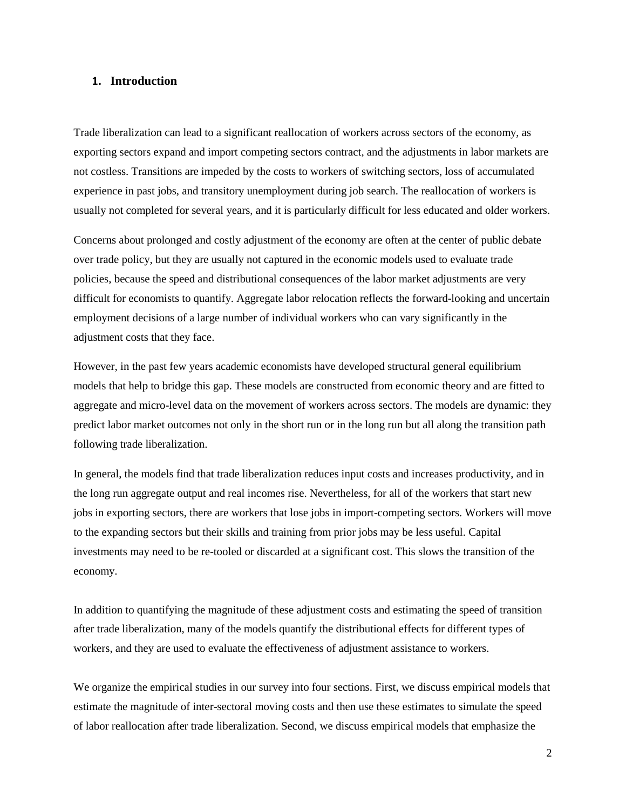## **1. Introduction**

Trade liberalization can lead to a significant reallocation of workers across sectors of the economy, as exporting sectors expand and import competing sectors contract, and the adjustments in labor markets are not costless. Transitions are impeded by the costs to workers of switching sectors, loss of accumulated experience in past jobs, and transitory unemployment during job search. The reallocation of workers is usually not completed for several years, and it is particularly difficult for less educated and older workers.

Concerns about prolonged and costly adjustment of the economy are often at the center of public debate over trade policy, but they are usually not captured in the economic models used to evaluate trade policies, because the speed and distributional consequences of the labor market adjustments are very difficult for economists to quantify. Aggregate labor relocation reflects the forward-looking and uncertain employment decisions of a large number of individual workers who can vary significantly in the adjustment costs that they face.

However, in the past few years academic economists have developed structural general equilibrium models that help to bridge this gap. These models are constructed from economic theory and are fitted to aggregate and micro-level data on the movement of workers across sectors. The models are dynamic: they predict labor market outcomes not only in the short run or in the long run but all along the transition path following trade liberalization.

In general, the models find that trade liberalization reduces input costs and increases productivity, and in the long run aggregate output and real incomes rise. Nevertheless, for all of the workers that start new jobs in exporting sectors, there are workers that lose jobs in import-competing sectors. Workers will move to the expanding sectors but their skills and training from prior jobs may be less useful. Capital investments may need to be re-tooled or discarded at a significant cost. This slows the transition of the economy.

In addition to quantifying the magnitude of these adjustment costs and estimating the speed of transition after trade liberalization, many of the models quantify the distributional effects for different types of workers, and they are used to evaluate the effectiveness of adjustment assistance to workers.

We organize the empirical studies in our survey into four sections. First, we discuss empirical models that estimate the magnitude of inter-sectoral moving costs and then use these estimates to simulate the speed of labor reallocation after trade liberalization. Second, we discuss empirical models that emphasize the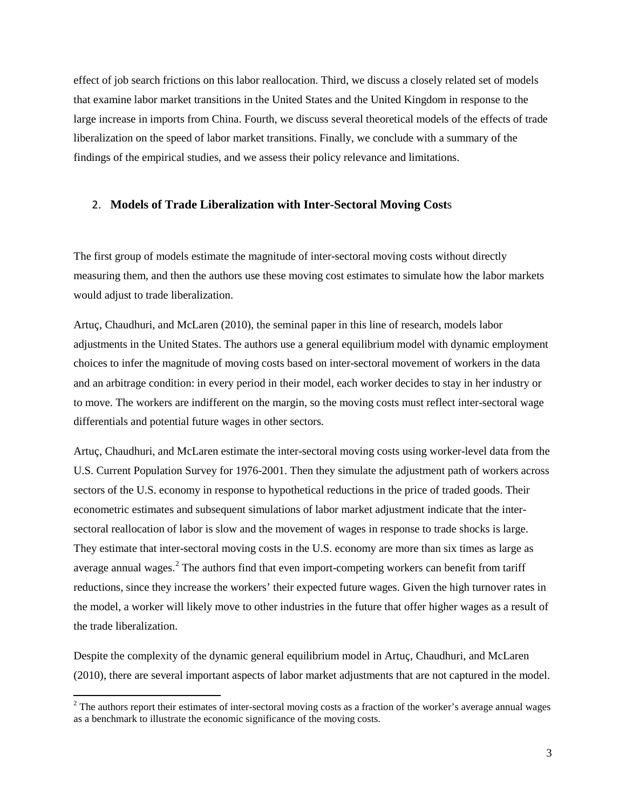effect of job search frictions on this labor reallocation. Third, we discuss a closely related set of models that examine labor market transitions in the United States and the United Kingdom in response to the large increase in imports from China. Fourth, we discuss several theoretical models of the effects of trade liberalization on the speed of labor market transitions. Finally, we conclude with a summary of the findings of the empirical studies, and we assess their policy relevance and limitations.

#### 2. **Models of Trade Liberalization with Inter-Sectoral Moving Cost**s

The first group of models estimate the magnitude of inter-sectoral moving costs without directly measuring them, and then the authors use these moving cost estimates to simulate how the labor markets would adjust to trade liberalization.

Artuç, Chaudhuri, and McLaren (2010), the seminal paper in this line of research, models labor adjustments in the United States. The authors use a general equilibrium model with dynamic employment choices to infer the magnitude of moving costs based on inter-sectoral movement of workers in the data and an arbitrage condition: in every period in their model, each worker decides to stay in her industry or to move. The workers are indifferent on the margin, so the moving costs must reflect inter-sectoral wage differentials and potential future wages in other sectors.

Artuç, Chaudhuri, and McLaren estimate the inter-sectoral moving costs using worker-level data from the U.S. Current Population Survey for 1976-2001. Then they simulate the adjustment path of workers across sectors of the U.S. economy in response to hypothetical reductions in the price of traded goods. Their econometric estimates and subsequent simulations of labor market adjustment indicate that the intersectoral reallocation of labor is slow and the movement of wages in response to trade shocks is large. They estimate that inter-sectoral moving costs in the U.S. economy are more than six times as large as average annual wages.<sup>[2](#page-3-0)</sup> The authors find that even import-competing workers can benefit from tariff reductions, since they increase the workers' their expected future wages. Given the high turnover rates in the model, a worker will likely move to other industries in the future that offer higher wages as a result of the trade liberalization.

Despite the complexity of the dynamic general equilibrium model in Artuç, Chaudhuri, and McLaren (2010), there are several important aspects of labor market adjustments that are not captured in the model.

<span id="page-3-0"></span> $2$  The authors report their estimates of inter-sectoral moving costs as a fraction of the worker's average annual wages as a benchmark to illustrate the economic significance of the moving costs.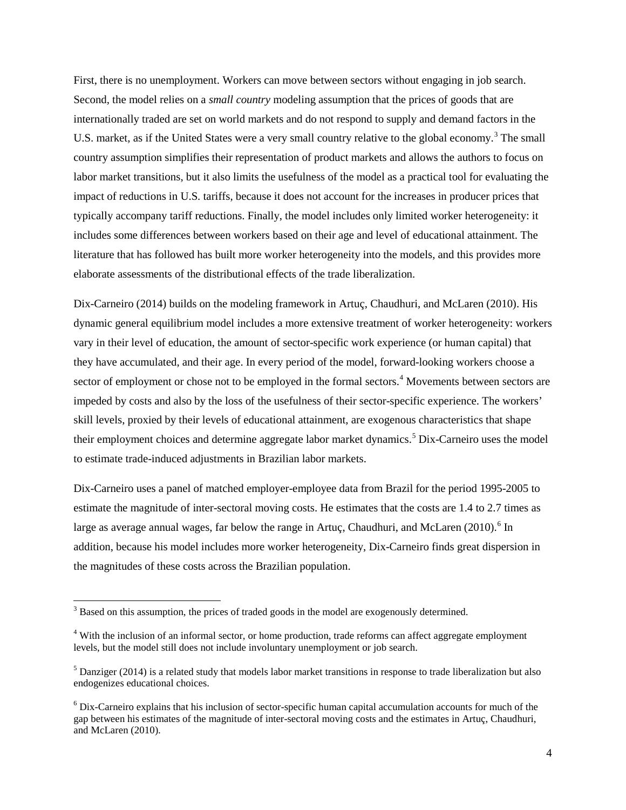First, there is no unemployment. Workers can move between sectors without engaging in job search. Second, the model relies on a *small country* modeling assumption that the prices of goods that are internationally traded are set on world markets and do not respond to supply and demand factors in the U.S. market, as if the United States were a very small country relative to the global economy.<sup>[3](#page-4-0)</sup> The small country assumption simplifies their representation of product markets and allows the authors to focus on labor market transitions, but it also limits the usefulness of the model as a practical tool for evaluating the impact of reductions in U.S. tariffs, because it does not account for the increases in producer prices that typically accompany tariff reductions. Finally, the model includes only limited worker heterogeneity: it includes some differences between workers based on their age and level of educational attainment. The literature that has followed has built more worker heterogeneity into the models, and this provides more elaborate assessments of the distributional effects of the trade liberalization.

Dix-Carneiro (2014) builds on the modeling framework in Artuç, Chaudhuri, and McLaren (2010). His dynamic general equilibrium model includes a more extensive treatment of worker heterogeneity: workers vary in their level of education, the amount of sector-specific work experience (or human capital) that they have accumulated, and their age. In every period of the model, forward-looking workers choose a sector of employment or chose not to be employed in the formal sectors.<sup>[4](#page-4-1)</sup> Movements between sectors are impeded by costs and also by the loss of the usefulness of their sector-specific experience. The workers' skill levels, proxied by their levels of educational attainment, are exogenous characteristics that shape their employment choices and determine aggregate labor market dynamics.<sup>[5](#page-4-2)</sup> Dix-Carneiro uses the model to estimate trade-induced adjustments in Brazilian labor markets.

Dix-Carneiro uses a panel of matched employer-employee data from Brazil for the period 1995-2005 to estimate the magnitude of inter-sectoral moving costs. He estimates that the costs are 1.4 to 2.7 times as large as average annual wages, far below the range in Artuç, Chaudhuri, and McLaren (2010).<sup>[6](#page-4-3)</sup> In addition, because his model includes more worker heterogeneity, Dix-Carneiro finds great dispersion in the magnitudes of these costs across the Brazilian population.

<span id="page-4-0"></span> $3$  Based on this assumption, the prices of traded goods in the model are exogenously determined.

<span id="page-4-1"></span><sup>&</sup>lt;sup>4</sup> With the inclusion of an informal sector, or home production, trade reforms can affect aggregate employment levels, but the model still does not include involuntary unemployment or job search.

<span id="page-4-2"></span> $<sup>5</sup>$  Danziger (2014) is a related study that models labor market transitions in response to trade liberalization but also</sup> endogenizes educational choices.

<span id="page-4-3"></span><sup>6</sup> Dix-Carneiro explains that his inclusion of sector-specific human capital accumulation accounts for much of the gap between his estimates of the magnitude of inter-sectoral moving costs and the estimates in Artuç, Chaudhuri, and McLaren (2010).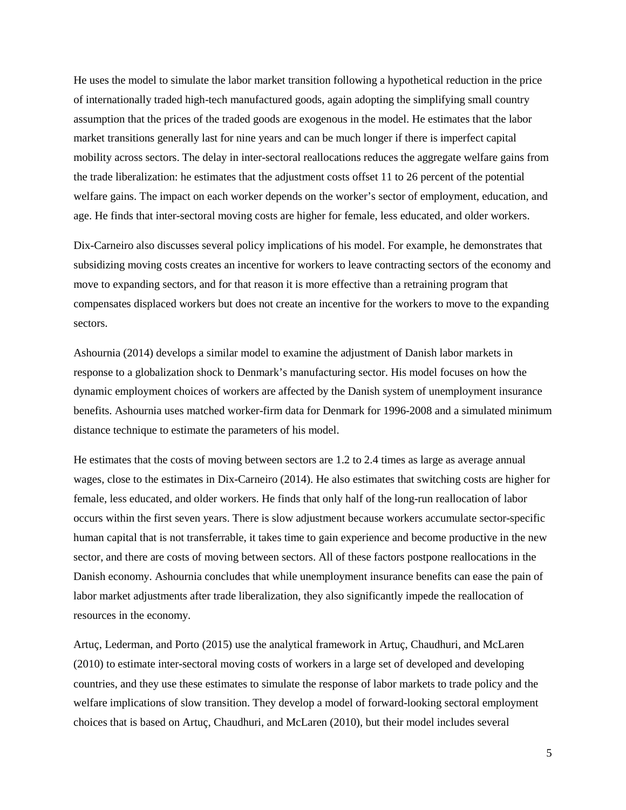He uses the model to simulate the labor market transition following a hypothetical reduction in the price of internationally traded high-tech manufactured goods, again adopting the simplifying small country assumption that the prices of the traded goods are exogenous in the model. He estimates that the labor market transitions generally last for nine years and can be much longer if there is imperfect capital mobility across sectors. The delay in inter-sectoral reallocations reduces the aggregate welfare gains from the trade liberalization: he estimates that the adjustment costs offset 11 to 26 percent of the potential welfare gains. The impact on each worker depends on the worker's sector of employment, education, and age. He finds that inter-sectoral moving costs are higher for female, less educated, and older workers.

Dix-Carneiro also discusses several policy implications of his model. For example, he demonstrates that subsidizing moving costs creates an incentive for workers to leave contracting sectors of the economy and move to expanding sectors, and for that reason it is more effective than a retraining program that compensates displaced workers but does not create an incentive for the workers to move to the expanding sectors.

Ashournia (2014) develops a similar model to examine the adjustment of Danish labor markets in response to a globalization shock to Denmark's manufacturing sector. His model focuses on how the dynamic employment choices of workers are affected by the Danish system of unemployment insurance benefits. Ashournia uses matched worker-firm data for Denmark for 1996-2008 and a simulated minimum distance technique to estimate the parameters of his model.

He estimates that the costs of moving between sectors are 1.2 to 2.4 times as large as average annual wages, close to the estimates in Dix-Carneiro (2014). He also estimates that switching costs are higher for female, less educated, and older workers. He finds that only half of the long-run reallocation of labor occurs within the first seven years. There is slow adjustment because workers accumulate sector-specific human capital that is not transferrable, it takes time to gain experience and become productive in the new sector, and there are costs of moving between sectors. All of these factors postpone reallocations in the Danish economy. Ashournia concludes that while unemployment insurance benefits can ease the pain of labor market adjustments after trade liberalization, they also significantly impede the reallocation of resources in the economy.

Artuç, Lederman, and Porto (2015) use the analytical framework in Artuç, Chaudhuri, and McLaren (2010) to estimate inter-sectoral moving costs of workers in a large set of developed and developing countries, and they use these estimates to simulate the response of labor markets to trade policy and the welfare implications of slow transition. They develop a model of forward-looking sectoral employment choices that is based on Artuç, Chaudhuri, and McLaren (2010), but their model includes several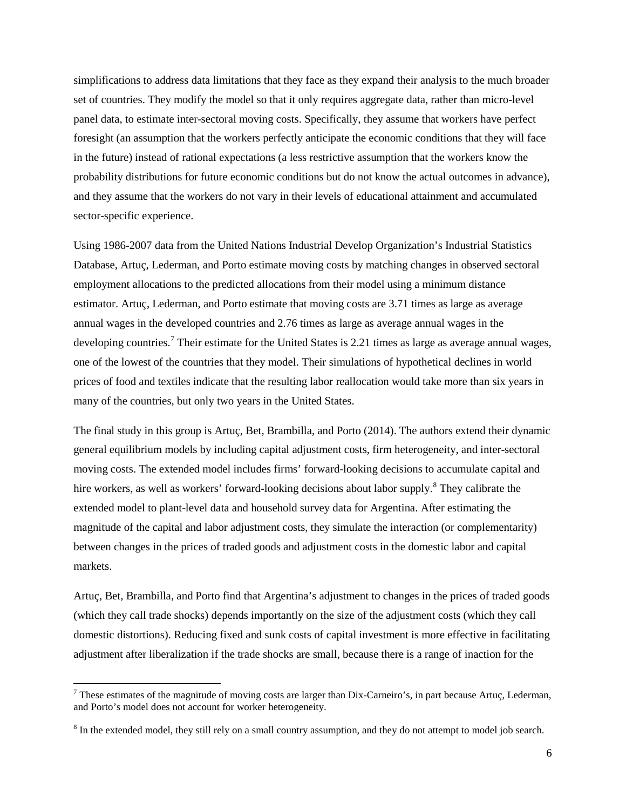simplifications to address data limitations that they face as they expand their analysis to the much broader set of countries. They modify the model so that it only requires aggregate data, rather than micro-level panel data, to estimate inter-sectoral moving costs. Specifically, they assume that workers have perfect foresight (an assumption that the workers perfectly anticipate the economic conditions that they will face in the future) instead of rational expectations (a less restrictive assumption that the workers know the probability distributions for future economic conditions but do not know the actual outcomes in advance), and they assume that the workers do not vary in their levels of educational attainment and accumulated sector-specific experience.

Using 1986-2007 data from the United Nations Industrial Develop Organization's Industrial Statistics Database, Artuç, Lederman, and Porto estimate moving costs by matching changes in observed sectoral employment allocations to the predicted allocations from their model using a minimum distance estimator. Artuç, Lederman, and Porto estimate that moving costs are 3.71 times as large as average annual wages in the developed countries and 2.76 times as large as average annual wages in the developing countries.<sup>[7](#page-6-0)</sup> Their estimate for the United States is 2.21 times as large as average annual wages, one of the lowest of the countries that they model. Their simulations of hypothetical declines in world prices of food and textiles indicate that the resulting labor reallocation would take more than six years in many of the countries, but only two years in the United States.

The final study in this group is Artuç, Bet, Brambilla, and Porto (2014). The authors extend their dynamic general equilibrium models by including capital adjustment costs, firm heterogeneity, and inter-sectoral moving costs. The extended model includes firms' forward-looking decisions to accumulate capital and hire workers, as well as workers' forward-looking decisions about labor supply.<sup>[8](#page-6-1)</sup> They calibrate the extended model to plant-level data and household survey data for Argentina. After estimating the magnitude of the capital and labor adjustment costs, they simulate the interaction (or complementarity) between changes in the prices of traded goods and adjustment costs in the domestic labor and capital markets.

Artuç, Bet, Brambilla, and Porto find that Argentina's adjustment to changes in the prices of traded goods (which they call trade shocks) depends importantly on the size of the adjustment costs (which they call domestic distortions). Reducing fixed and sunk costs of capital investment is more effective in facilitating adjustment after liberalization if the trade shocks are small, because there is a range of inaction for the

<span id="page-6-0"></span> $^7$  These estimates of the magnitude of moving costs are larger than Dix-Carneiro's, in part because Artuç, Lederman, and Porto's model does not account for worker heterogeneity.

<span id="page-6-1"></span><sup>&</sup>lt;sup>8</sup> In the extended model, they still rely on a small country assumption, and they do not attempt to model job search.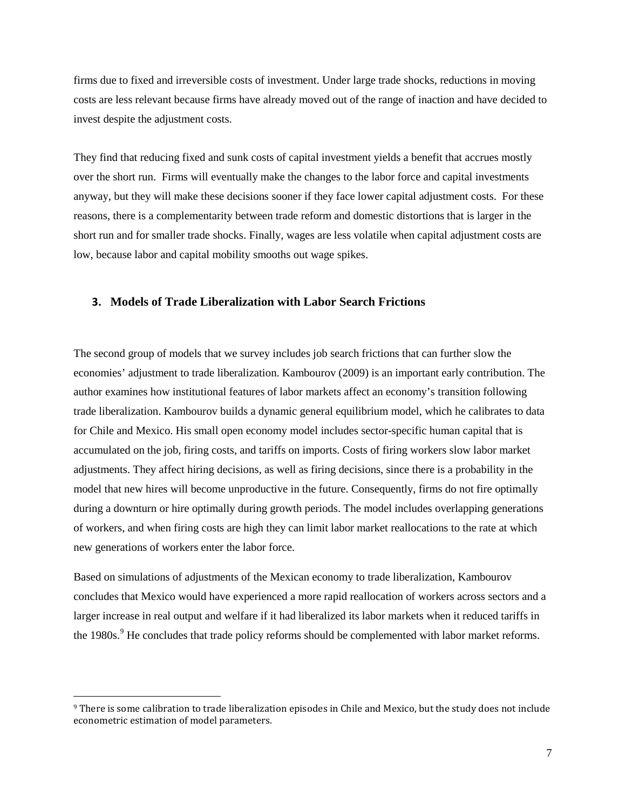firms due to fixed and irreversible costs of investment. Under large trade shocks, reductions in moving costs are less relevant because firms have already moved out of the range of inaction and have decided to invest despite the adjustment costs.

They find that reducing fixed and sunk costs of capital investment yields a benefit that accrues mostly over the short run. Firms will eventually make the changes to the labor force and capital investments anyway, but they will make these decisions sooner if they face lower capital adjustment costs. For these reasons, there is a complementarity between trade reform and domestic distortions that is larger in the short run and for smaller trade shocks. Finally, wages are less volatile when capital adjustment costs are low, because labor and capital mobility smooths out wage spikes.

### **3. Models of Trade Liberalization with Labor Search Frictions**

The second group of models that we survey includes job search frictions that can further slow the economies' adjustment to trade liberalization. Kambourov (2009) is an important early contribution. The author examines how institutional features of labor markets affect an economy's transition following trade liberalization. Kambourov builds a dynamic general equilibrium model, which he calibrates to data for Chile and Mexico. His small open economy model includes sector-specific human capital that is accumulated on the job, firing costs, and tariffs on imports. Costs of firing workers slow labor market adjustments. They affect hiring decisions, as well as firing decisions, since there is a probability in the model that new hires will become unproductive in the future. Consequently, firms do not fire optimally during a downturn or hire optimally during growth periods. The model includes overlapping generations of workers, and when firing costs are high they can limit labor market reallocations to the rate at which new generations of workers enter the labor force.

Based on simulations of adjustments of the Mexican economy to trade liberalization, Kambourov concludes that Mexico would have experienced a more rapid reallocation of workers across sectors and a larger increase in real output and welfare if it had liberalized its labor markets when it reduced tariffs in the 1[9](#page-7-0)80s.<sup>9</sup> He concludes that trade policy reforms should be complemented with labor market reforms.

 $\overline{\phantom{a}}$ 

<span id="page-7-0"></span><sup>9</sup> There is some calibration to trade liberalization episodes in Chile and Mexico, but the study does not include econometric estimation of model parameters.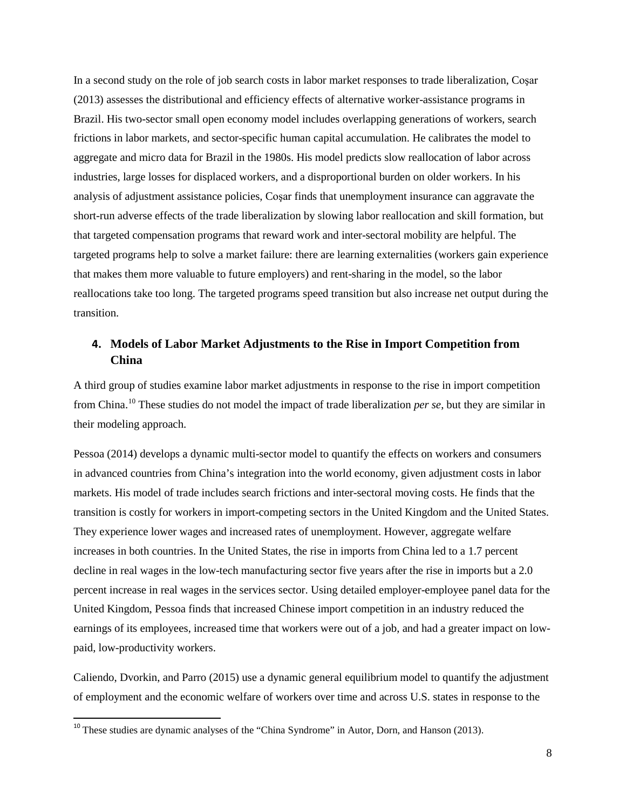In a second study on the role of job search costs in labor market responses to trade liberalization, Coşar (2013) assesses the distributional and efficiency effects of alternative worker-assistance programs in Brazil. His two-sector small open economy model includes overlapping generations of workers, search frictions in labor markets, and sector-specific human capital accumulation. He calibrates the model to aggregate and micro data for Brazil in the 1980s. His model predicts slow reallocation of labor across industries, large losses for displaced workers, and a disproportional burden on older workers. In his analysis of adjustment assistance policies, Coşar finds that unemployment insurance can aggravate the short-run adverse effects of the trade liberalization by slowing labor reallocation and skill formation, but that targeted compensation programs that reward work and inter-sectoral mobility are helpful. The targeted programs help to solve a market failure: there are learning externalities (workers gain experience that makes them more valuable to future employers) and rent-sharing in the model, so the labor reallocations take too long. The targeted programs speed transition but also increase net output during the transition.

# **4. Models of Labor Market Adjustments to the Rise in Import Competition from China**

A third group of studies examine labor market adjustments in response to the rise in import competition from China. [10](#page-8-0) These studies do not model the impact of trade liberalization *per se*, but they are similar in their modeling approach.

Pessoa (2014) develops a dynamic multi-sector model to quantify the effects on workers and consumers in advanced countries from China's integration into the world economy, given adjustment costs in labor markets. His model of trade includes search frictions and inter-sectoral moving costs. He finds that the transition is costly for workers in import-competing sectors in the United Kingdom and the United States. They experience lower wages and increased rates of unemployment. However, aggregate welfare increases in both countries. In the United States, the rise in imports from China led to a 1.7 percent decline in real wages in the low-tech manufacturing sector five years after the rise in imports but a 2.0 percent increase in real wages in the services sector. Using detailed employer-employee panel data for the United Kingdom, Pessoa finds that increased Chinese import competition in an industry reduced the earnings of its employees, increased time that workers were out of a job, and had a greater impact on lowpaid, low-productivity workers.

Caliendo, Dvorkin, and Parro (2015) use a dynamic general equilibrium model to quantify the adjustment of employment and the economic welfare of workers over time and across U.S. states in response to the

<span id="page-8-0"></span><sup>&</sup>lt;sup>10</sup> These studies are dynamic analyses of the "China Syndrome" in Autor, Dorn, and Hanson (2013).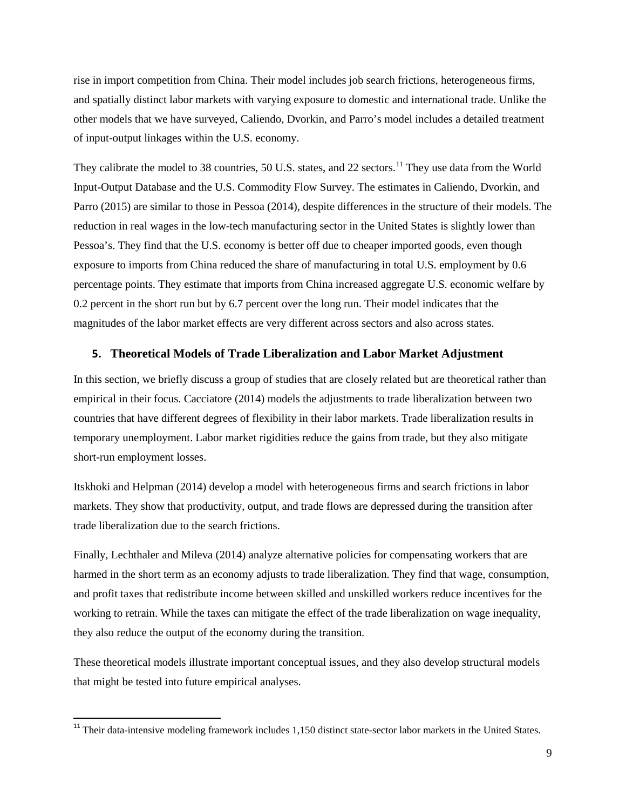rise in import competition from China. Their model includes job search frictions, heterogeneous firms, and spatially distinct labor markets with varying exposure to domestic and international trade. Unlike the other models that we have surveyed, Caliendo, Dvorkin, and Parro's model includes a detailed treatment of input-output linkages within the U.S. economy.

They calibrate the model to 38 countries, 50 U.S. states, and 22 sectors.<sup>[11](#page-9-0)</sup> They use data from the World Input-Output Database and the U.S. Commodity Flow Survey. The estimates in Caliendo, Dvorkin, and Parro (2015) are similar to those in Pessoa (2014), despite differences in the structure of their models. The reduction in real wages in the low-tech manufacturing sector in the United States is slightly lower than Pessoa's. They find that the U.S. economy is better off due to cheaper imported goods, even though exposure to imports from China reduced the share of manufacturing in total U.S. employment by 0.6 percentage points. They estimate that imports from China increased aggregate U.S. economic welfare by 0.2 percent in the short run but by 6.7 percent over the long run. Their model indicates that the magnitudes of the labor market effects are very different across sectors and also across states.

### **5. Theoretical Models of Trade Liberalization and Labor Market Adjustment**

In this section, we briefly discuss a group of studies that are closely related but are theoretical rather than empirical in their focus. Cacciatore (2014) models the adjustments to trade liberalization between two countries that have different degrees of flexibility in their labor markets. Trade liberalization results in temporary unemployment. Labor market rigidities reduce the gains from trade, but they also mitigate short-run employment losses.

Itskhoki and Helpman (2014) develop a model with heterogeneous firms and search frictions in labor markets. They show that productivity, output, and trade flows are depressed during the transition after trade liberalization due to the search frictions.

Finally, Lechthaler and Mileva (2014) analyze alternative policies for compensating workers that are harmed in the short term as an economy adjusts to trade liberalization. They find that wage, consumption, and profit taxes that redistribute income between skilled and unskilled workers reduce incentives for the working to retrain. While the taxes can mitigate the effect of the trade liberalization on wage inequality, they also reduce the output of the economy during the transition.

These theoretical models illustrate important conceptual issues, and they also develop structural models that might be tested into future empirical analyses.

<span id="page-9-0"></span><sup>&</sup>lt;sup>11</sup> Their data-intensive modeling framework includes 1,150 distinct state-sector labor markets in the United States.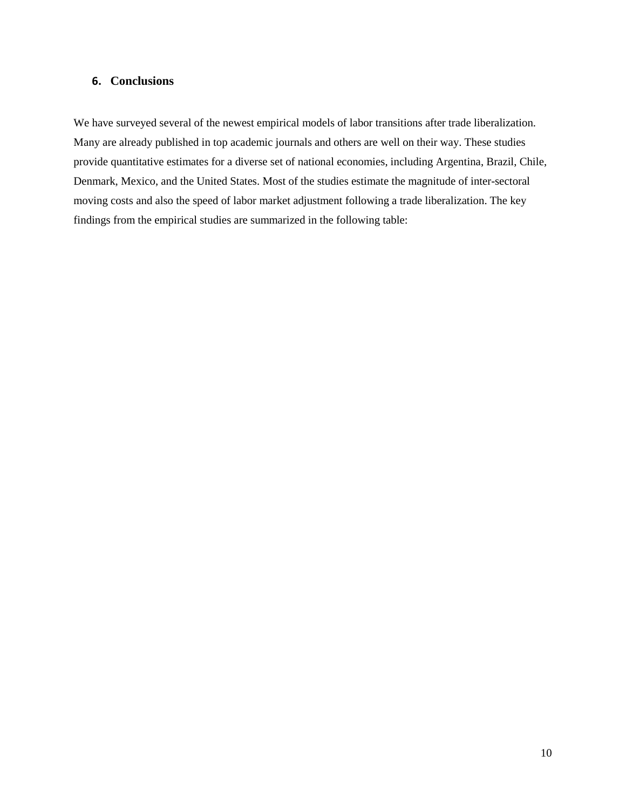# **6. Conclusions**

We have surveyed several of the newest empirical models of labor transitions after trade liberalization. Many are already published in top academic journals and others are well on their way. These studies provide quantitative estimates for a diverse set of national economies, including Argentina, Brazil, Chile, Denmark, Mexico, and the United States. Most of the studies estimate the magnitude of inter-sectoral moving costs and also the speed of labor market adjustment following a trade liberalization. The key findings from the empirical studies are summarized in the following table: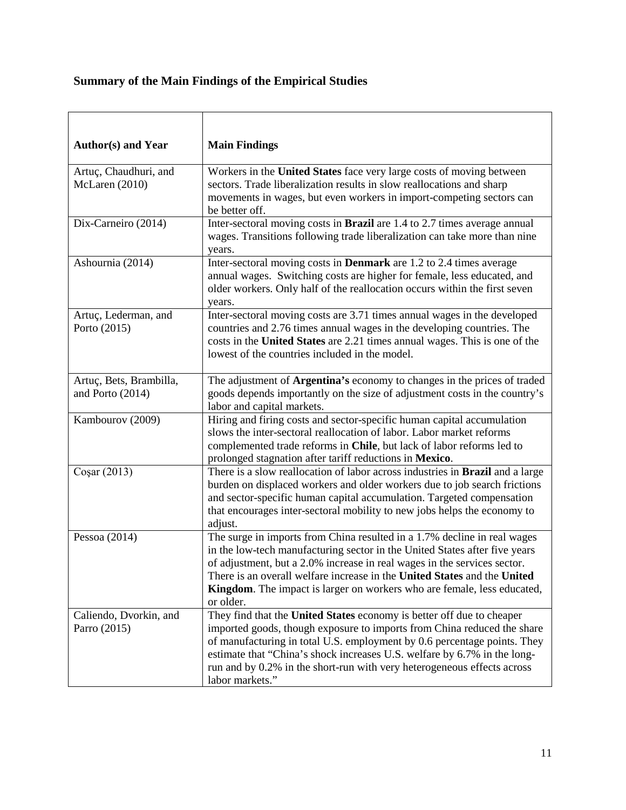# **Summary of the Main Findings of the Empirical Studies**

| <b>Author(s) and Year</b>                   | <b>Main Findings</b>                                                                                                                                                                                                                                                                                                                                                                                   |
|---------------------------------------------|--------------------------------------------------------------------------------------------------------------------------------------------------------------------------------------------------------------------------------------------------------------------------------------------------------------------------------------------------------------------------------------------------------|
| Artuç, Chaudhuri, and<br>McLaren (2010)     | Workers in the United States face very large costs of moving between<br>sectors. Trade liberalization results in slow reallocations and sharp<br>movements in wages, but even workers in import-competing sectors can<br>be better off.                                                                                                                                                                |
| Dix-Carneiro (2014)                         | Inter-sectoral moving costs in Brazil are 1.4 to 2.7 times average annual<br>wages. Transitions following trade liberalization can take more than nine<br>years.                                                                                                                                                                                                                                       |
| Ashournia (2014)                            | Inter-sectoral moving costs in <b>Denmark</b> are 1.2 to 2.4 times average<br>annual wages. Switching costs are higher for female, less educated, and<br>older workers. Only half of the reallocation occurs within the first seven<br>years.                                                                                                                                                          |
| Artuç, Lederman, and<br>Porto (2015)        | Inter-sectoral moving costs are 3.71 times annual wages in the developed<br>countries and 2.76 times annual wages in the developing countries. The<br>costs in the United States are 2.21 times annual wages. This is one of the<br>lowest of the countries included in the model.                                                                                                                     |
| Artuç, Bets, Brambilla,<br>and Porto (2014) | The adjustment of Argentina's economy to changes in the prices of traded<br>goods depends importantly on the size of adjustment costs in the country's<br>labor and capital markets.                                                                                                                                                                                                                   |
| Kambourov (2009)                            | Hiring and firing costs and sector-specific human capital accumulation<br>slows the inter-sectoral reallocation of labor. Labor market reforms<br>complemented trade reforms in Chile, but lack of labor reforms led to<br>prolonged stagnation after tariff reductions in Mexico.                                                                                                                     |
| Coşar $(2013)$                              | There is a slow reallocation of labor across industries in Brazil and a large<br>burden on displaced workers and older workers due to job search frictions<br>and sector-specific human capital accumulation. Targeted compensation<br>that encourages inter-sectoral mobility to new jobs helps the economy to<br>adjust.                                                                             |
| Pessoa $(2014)$                             | The surge in imports from China resulted in a 1.7% decline in real wages<br>in the low-tech manufacturing sector in the United States after five years<br>of adjustment, but a 2.0% increase in real wages in the services sector.<br>There is an overall welfare increase in the United States and the United<br>Kingdom. The impact is larger on workers who are female, less educated,<br>or older. |
| Caliendo, Dvorkin, and<br>Parro (2015)      | They find that the United States economy is better off due to cheaper<br>imported goods, though exposure to imports from China reduced the share<br>of manufacturing in total U.S. employment by 0.6 percentage points. They<br>estimate that "China's shock increases U.S. welfare by 6.7% in the long-<br>run and by 0.2% in the short-run with very heterogeneous effects across<br>labor markets." |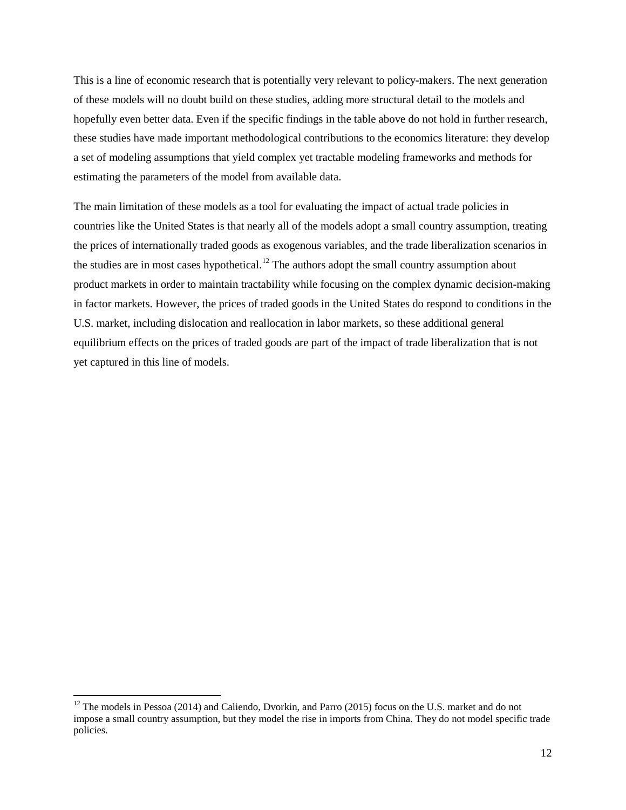This is a line of economic research that is potentially very relevant to policy-makers. The next generation of these models will no doubt build on these studies, adding more structural detail to the models and hopefully even better data. Even if the specific findings in the table above do not hold in further research, these studies have made important methodological contributions to the economics literature: they develop a set of modeling assumptions that yield complex yet tractable modeling frameworks and methods for estimating the parameters of the model from available data.

The main limitation of these models as a tool for evaluating the impact of actual trade policies in countries like the United States is that nearly all of the models adopt a small country assumption, treating the prices of internationally traded goods as exogenous variables, and the trade liberalization scenarios in the studies are in most cases hypothetical.<sup>[12](#page-12-0)</sup> The authors adopt the small country assumption about product markets in order to maintain tractability while focusing on the complex dynamic decision-making in factor markets. However, the prices of traded goods in the United States do respond to conditions in the U.S. market, including dislocation and reallocation in labor markets, so these additional general equilibrium effects on the prices of traded goods are part of the impact of trade liberalization that is not yet captured in this line of models.

<span id="page-12-0"></span> $12$  The models in Pessoa (2014) and Caliendo, Dvorkin, and Parro (2015) focus on the U.S. market and do not impose a small country assumption, but they model the rise in imports from China. They do not model specific trade policies.